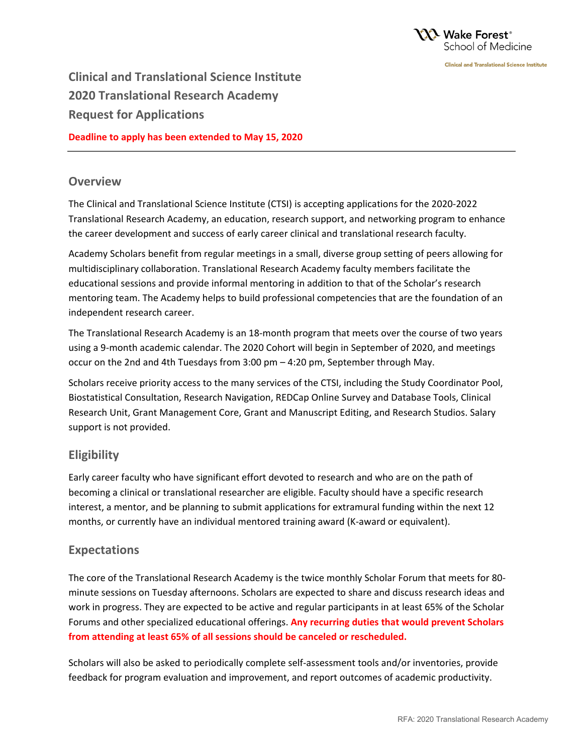

**Clinical and Translational Science Institute** 

**Clinical and Translational Science Institute 2020 Translational Research Academy Request for Applications** 

#### **Deadline to apply has been extended to May 15, 2020**

### **Overview**

The Clinical and Translational Science Institute (CTSI) is accepting applications for the 2020-2022 Translational Research Academy, an education, research support, and networking program to enhance the career development and success of early career clinical and translational research faculty.

Academy Scholars benefit from regular meetings in a small, diverse group setting of peers allowing for multidisciplinary collaboration. Translational Research Academy faculty members facilitate the educational sessions and provide informal mentoring in addition to that of the Scholar's research mentoring team. The Academy helps to build professional competencies that are the foundation of an independent research career.

The Translational Research Academy is an 18-month program that meets over the course of two years using a 9-month academic calendar. The 2020 Cohort will begin in September of 2020, and meetings occur on the 2nd and 4th Tuesdays from 3:00 pm – 4:20 pm, September through May.

Scholars receive priority access to the many services of the CTSI, including the Study Coordinator Pool, Biostatistical Consultation, Research Navigation, REDCap Online Survey and Database Tools, Clinical Research Unit, Grant Management Core, Grant and Manuscript Editing, and Research Studios. Salary support is not provided.

## **Eligibility**

Early career faculty who have significant effort devoted to research and who are on the path of becoming a clinical or translational researcher are eligible. Faculty should have a specific research interest, a mentor, and be planning to submit applications for extramural funding within the next 12 months, or currently have an individual mentored training award (K-award or equivalent).

## **Expectations**

The core of the Translational Research Academy is the twice monthly Scholar Forum that meets for 80 minute sessions on Tuesday afternoons. Scholars are expected to share and discuss research ideas and work in progress. They are expected to be active and regular participants in at least 65% of the Scholar Forums and other specialized educational offerings. **Any recurring duties that would prevent Scholars from attending at least 65% of all sessions should be canceled or rescheduled.**

Scholars will also be asked to periodically complete self-assessment tools and/or inventories, provide feedback for program evaluation and improvement, and report outcomes of academic productivity.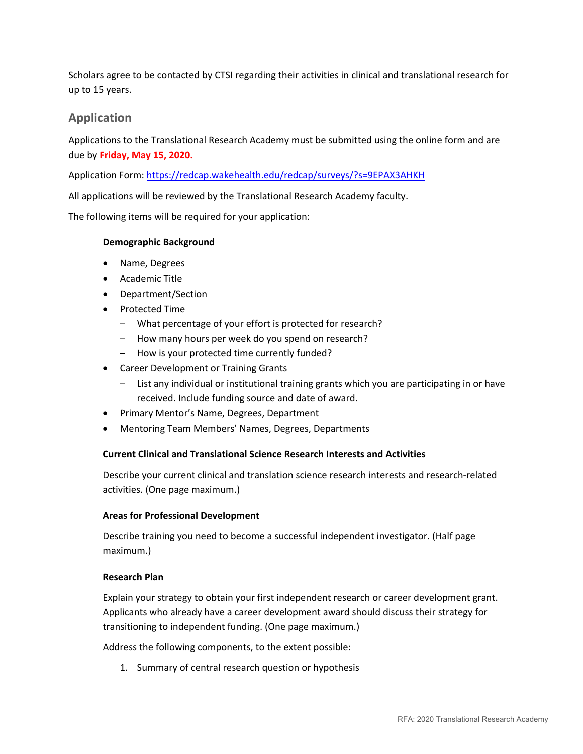Scholars agree to be contacted by CTSI regarding their activities in clinical and translational research for up to 15 years.

## **Application**

Applications to the Translational Research Academy must be submitted using the online form and are due by **Friday, May 15, 2020.**

Application Form:<https://redcap.wakehealth.edu/redcap/surveys/?s=9EPAX3AHKH>

All applications will be reviewed by the Translational Research Academy faculty.

The following items will be required for your application:

#### **Demographic Background**

- Name, Degrees
- Academic Title
- Department/Section
- Protected Time
	- What percentage of your effort is protected for research?
	- How many hours per week do you spend on research?
	- How is your protected time currently funded?
- Career Development or Training Grants
	- List any individual or institutional training grants which you are participating in or have received. Include funding source and date of award.
- Primary Mentor's Name, Degrees, Department
- Mentoring Team Members' Names, Degrees, Departments

#### **Current Clinical and Translational Science Research Interests and Activities**

Describe your current clinical and translation science research interests and research-related activities. (One page maximum.)

#### **Areas for Professional Development**

Describe training you need to become a successful independent investigator. (Half page maximum.)

#### **Research Plan**

Explain your strategy to obtain your first independent research or career development grant. Applicants who already have a career development award should discuss their strategy for transitioning to independent funding. (One page maximum.)

Address the following components, to the extent possible:

1. Summary of central research question or hypothesis